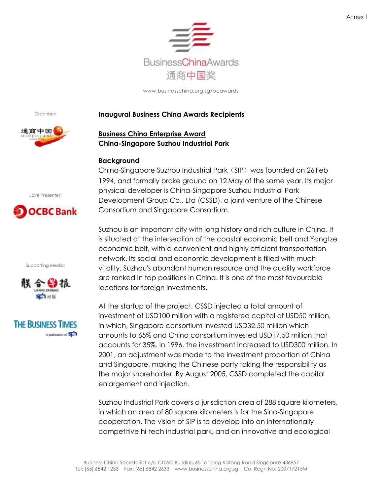

Organiser:



### **Inaugural Business China Awards Recipients**

# **Business China Enterprise Award China-Singapore Suzhou Industrial Park**

### **Background**

China-Singapore Suzhou Industrial Park (SIP) was founded on 26 Feb 1994, and formally broke ground on 12 May of the same year. Its major physical developer is China-Singapore Suzhou Industrial Park Development Group Co., Ltd (CSSD), a joint venture of the Chinese Consortium and Singapore Consortium.

Suzhou is an important city with long history and rich culture in China. It is situated at the intersection of the coastal economic belt and Yangtze economic belt, with a convenient and highly efficient transportation network. Its social and economic development is filled with much vitality. Suzhou's abundant human resource and the quality workforce are ranked in top positions in China. It is one of the most favourable locations for foreign investments.

At the startup of the project, CSSD injected a total amount of investment of USD100 million with a registered capital of USD50 million, in which, Singapore consortium invested USD32.50 million which amounts to 65% and China consortium invested USD17.50 million that accounts for 35%. In 1996, the investment increased to USD300 million. In 2001, an adjustment was made to the investment proportion of China and Singapore, making the Chinese party taking the responsibility as the major shareholder. By August 2005, CSSD completed the capital enlargement and injection.

Suzhou Industrial Park covers a jurisdiction area of 288 square kilometers, in which an area of 80 square kilometers is for the Sino-Singapore cooperation. The vision of SIP is to develop into an internationally competitive hi-tech industrial park, and an innovative and ecological

Joint Presenter:

# **OCBC** Bank

Supporting Media:



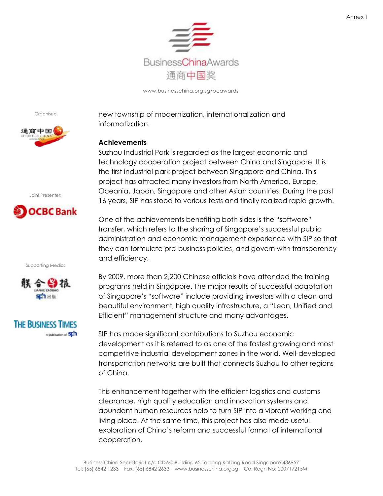

Organiser:



Joint Presenter:



Supporting Media:





new township of modernization, internationalization and informatization.

## **Achievements**

Suzhou Industrial Park is regarded as the largest economic and technology cooperation project between China and Singapore. It is the first industrial park project between Singapore and China. This project has attracted many investors from North America, Europe, Oceania, Japan, Singapore and other Asian countries. During the past 16 years, SIP has stood to various tests and finally realized rapid growth.

One of the achievements benefiting both sides is the "software" transfer, which refers to the sharing of Singapore"s successful public administration and economic management experience with SIP so that they can formulate pro-business policies, and govern with transparency and efficiency.

By 2009, more than 2,200 Chinese officials have attended the training programs held in Singapore. The major results of successful adaptation of Singapore"s "software" include providing investors with a clean and beautiful environment, high quality infrastructure, a "Lean, Unified and Efficient" management structure and many advantages.

SIP has made significant contributions to Suzhou economic development as it is referred to as one of the fastest growing and most competitive industrial development zones in the world. Well-developed transportation networks are built that connects Suzhou to other regions of China.

This enhancement together with the efficient logistics and customs clearance, high quality education and innovation systems and abundant human resources help to turn SIP into a vibrant working and living place. At the same time, this project has also made useful exploration of China"s reform and successful format of international cooperation.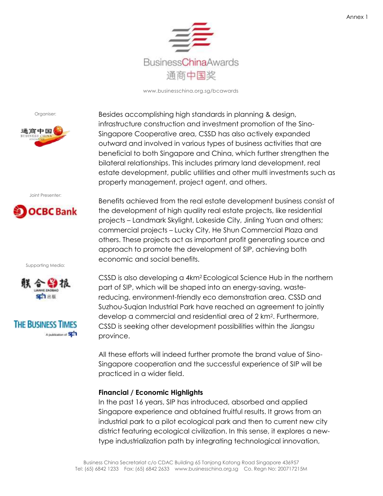

Organiser:



Joint Presenter:



Supporting Media:





Besides accomplishing high standards in planning & design, infrastructure construction and investment promotion of the Sino-Singapore Cooperative area, CSSD has also actively expanded outward and involved in various types of business activities that are beneficial to both Singapore and China, which further strengthen the bilateral relationships. This includes primary land development, real estate development, public utilities and other multi investments such as property management, project agent, and others.

Benefits achieved from the real estate development business consist of the development of high quality real estate projects, like residential projects – Landmark Skylight, Lakeside City, Jinling Yuan and others; commercial projects – Lucky City, He Shun Commercial Plaza and others. These projects act as important profit generating source and approach to promote the development of SIP, achieving both economic and social benefits.

CSSD is also developing a 4km2 Ecological Science Hub in the northern part of SIP, which will be shaped into an energy-saving, wastereducing, environment-friendly eco demonstration area. CSSD and Suzhou-Suqian Industrial Park have reached an agreement to jointly develop a commercial and residential area of 2 km<sup>2</sup> . Furthermore, CSSD is seeking other development possibilities within the Jiangsu province.

All these efforts will indeed further promote the brand value of Sino-Singapore cooperation and the successful experience of SIP will be practiced in a wider field.

### **Financial / Economic Highlights**

In the past 16 years, SIP has introduced, absorbed and applied Singapore experience and obtained fruitful results. It grows from an industrial park to a pilot ecological park and then to current new city district featuring ecological civilization. In this sense, it explores a newtype industrialization path by integrating technological innovation,